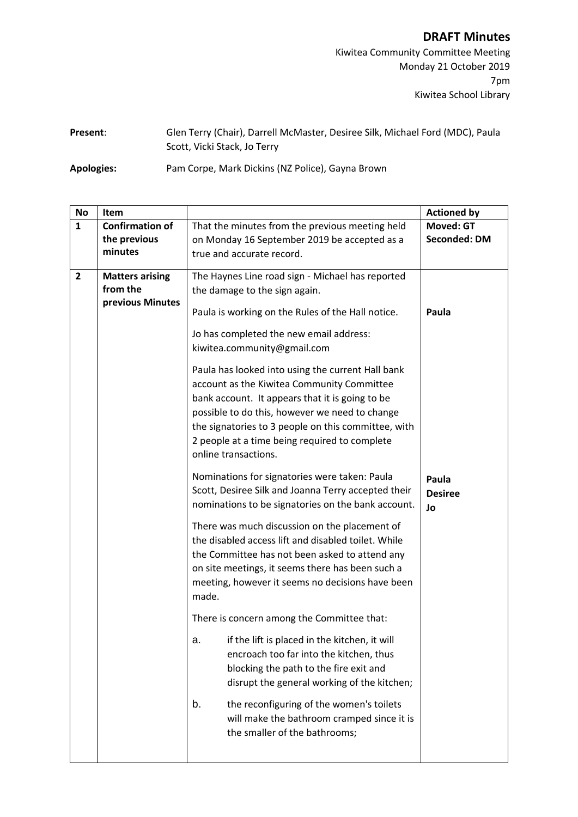## **DRAFT Minutes**

Kiwitea Community Committee Meeting Monday 21 October 2019 7pm Kiwitea School Library

| Present: | Glen Terry (Chair), Darrell McMaster, Desiree Silk, Michael Ford (MDC), Paula |
|----------|-------------------------------------------------------------------------------|
|          | Scott, Vicki Stack, Jo Terry                                                  |

**Apologies:** Pam Corpe, Mark Dickins (NZ Police), Gayna Brown

| <b>No</b>      | <b>Item</b>                                            |                                                                                                                                                                                                                                                                                                                                                                                                                                                                                                                                                                                                                                                                                                                                                                                                                                                                                                                                                                                                                                                                                                                                                                                                                                                                                                                                                                             | <b>Actioned by</b>                      |
|----------------|--------------------------------------------------------|-----------------------------------------------------------------------------------------------------------------------------------------------------------------------------------------------------------------------------------------------------------------------------------------------------------------------------------------------------------------------------------------------------------------------------------------------------------------------------------------------------------------------------------------------------------------------------------------------------------------------------------------------------------------------------------------------------------------------------------------------------------------------------------------------------------------------------------------------------------------------------------------------------------------------------------------------------------------------------------------------------------------------------------------------------------------------------------------------------------------------------------------------------------------------------------------------------------------------------------------------------------------------------------------------------------------------------------------------------------------------------|-----------------------------------------|
| $\mathbf{1}$   | <b>Confirmation of</b><br>the previous<br>minutes      | That the minutes from the previous meeting held<br>on Monday 16 September 2019 be accepted as a<br>true and accurate record.                                                                                                                                                                                                                                                                                                                                                                                                                                                                                                                                                                                                                                                                                                                                                                                                                                                                                                                                                                                                                                                                                                                                                                                                                                                | <b>Moved: GT</b><br><b>Seconded: DM</b> |
| $\overline{2}$ | <b>Matters arising</b><br>from the<br>previous Minutes | The Haynes Line road sign - Michael has reported<br>the damage to the sign again.<br>Paula is working on the Rules of the Hall notice.<br>Jo has completed the new email address:<br>kiwitea.community@gmail.com<br>Paula has looked into using the current Hall bank<br>account as the Kiwitea Community Committee<br>bank account. It appears that it is going to be<br>possible to do this, however we need to change<br>the signatories to 3 people on this committee, with<br>2 people at a time being required to complete<br>online transactions.<br>Nominations for signatories were taken: Paula<br>Scott, Desiree Silk and Joanna Terry accepted their<br>nominations to be signatories on the bank account.<br>There was much discussion on the placement of<br>the disabled access lift and disabled toilet. While<br>the Committee has not been asked to attend any<br>on site meetings, it seems there has been such a<br>meeting, however it seems no decisions have been<br>made.<br>There is concern among the Committee that:<br>if the lift is placed in the kitchen, it will<br>a.<br>encroach too far into the kitchen, thus<br>blocking the path to the fire exit and<br>disrupt the general working of the kitchen;<br>the reconfiguring of the women's toilets<br>b.<br>will make the bathroom cramped since it is<br>the smaller of the bathrooms; | Paula<br>Paula<br><b>Desiree</b><br>Jo  |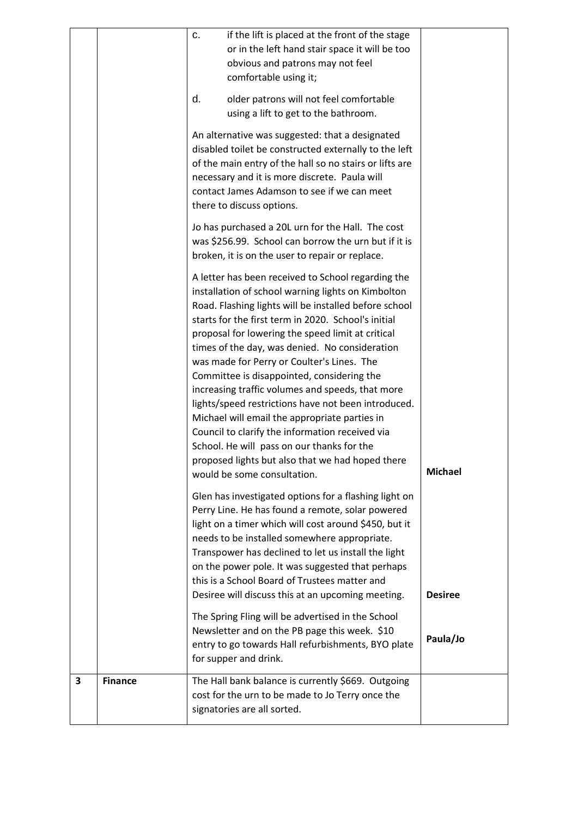| 3 | <b>Finance</b> | The Hall bank balance is currently \$669. Outgoing<br>cost for the urn to be made to Jo Terry once the<br>signatories are all sorted.                                                                                                                                                                                                                                                                                                                                                                                                                                                                                                                                                                                                                                                                                          |                |
|---|----------------|--------------------------------------------------------------------------------------------------------------------------------------------------------------------------------------------------------------------------------------------------------------------------------------------------------------------------------------------------------------------------------------------------------------------------------------------------------------------------------------------------------------------------------------------------------------------------------------------------------------------------------------------------------------------------------------------------------------------------------------------------------------------------------------------------------------------------------|----------------|
|   |                | The Spring Fling will be advertised in the School<br>Newsletter and on the PB page this week. \$10<br>entry to go towards Hall refurbishments, BYO plate<br>for supper and drink.                                                                                                                                                                                                                                                                                                                                                                                                                                                                                                                                                                                                                                              | Paula/Jo       |
|   |                | Glen has investigated options for a flashing light on<br>Perry Line. He has found a remote, solar powered<br>light on a timer which will cost around \$450, but it<br>needs to be installed somewhere appropriate.<br>Transpower has declined to let us install the light<br>on the power pole. It was suggested that perhaps<br>this is a School Board of Trustees matter and<br>Desiree will discuss this at an upcoming meeting.                                                                                                                                                                                                                                                                                                                                                                                            | <b>Desiree</b> |
|   |                | broken, it is on the user to repair or replace.<br>A letter has been received to School regarding the<br>installation of school warning lights on Kimbolton<br>Road. Flashing lights will be installed before school<br>starts for the first term in 2020. School's initial<br>proposal for lowering the speed limit at critical<br>times of the day, was denied. No consideration<br>was made for Perry or Coulter's Lines. The<br>Committee is disappointed, considering the<br>increasing traffic volumes and speeds, that more<br>lights/speed restrictions have not been introduced.<br>Michael will email the appropriate parties in<br>Council to clarify the information received via<br>School. He will pass on our thanks for the<br>proposed lights but also that we had hoped there<br>would be some consultation. | <b>Michael</b> |
|   |                | An alternative was suggested: that a designated<br>disabled toilet be constructed externally to the left<br>of the main entry of the hall so no stairs or lifts are<br>necessary and it is more discrete. Paula will<br>contact James Adamson to see if we can meet<br>there to discuss options.<br>Jo has purchased a 20L urn for the Hall. The cost<br>was \$256.99. School can borrow the urn but if it is                                                                                                                                                                                                                                                                                                                                                                                                                  |                |
|   |                | if the lift is placed at the front of the stage<br>c.<br>or in the left hand stair space it will be too<br>obvious and patrons may not feel<br>comfortable using it;<br>older patrons will not feel comfortable<br>d.<br>using a lift to get to the bathroom.                                                                                                                                                                                                                                                                                                                                                                                                                                                                                                                                                                  |                |
|   |                |                                                                                                                                                                                                                                                                                                                                                                                                                                                                                                                                                                                                                                                                                                                                                                                                                                |                |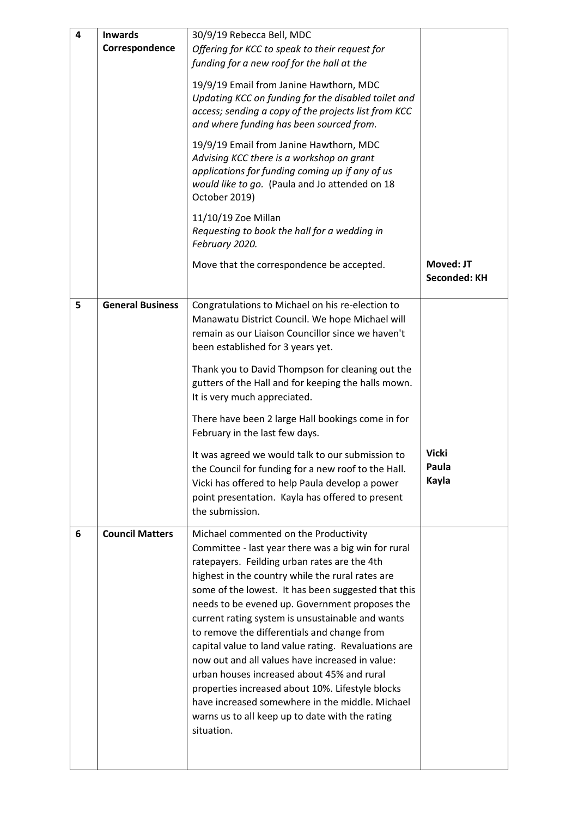| 4 | <b>Inwards</b><br>Correspondence | 30/9/19 Rebecca Bell, MDC<br>Offering for KCC to speak to their request for<br>funding for a new roof for the hall at the<br>19/9/19 Email from Janine Hawthorn, MDC<br>Updating KCC on funding for the disabled toilet and<br>access; sending a copy of the projects list from KCC<br>and where funding has been sourced from.<br>19/9/19 Email from Janine Hawthorn, MDC<br>Advising KCC there is a workshop on grant<br>applications for funding coming up if any of us<br>would like to go. (Paula and Jo attended on 18<br>October 2019)                                                                                                                                                                                                 |                                  |
|---|----------------------------------|-----------------------------------------------------------------------------------------------------------------------------------------------------------------------------------------------------------------------------------------------------------------------------------------------------------------------------------------------------------------------------------------------------------------------------------------------------------------------------------------------------------------------------------------------------------------------------------------------------------------------------------------------------------------------------------------------------------------------------------------------|----------------------------------|
|   |                                  | 11/10/19 Zoe Millan<br>Requesting to book the hall for a wedding in<br>February 2020.                                                                                                                                                                                                                                                                                                                                                                                                                                                                                                                                                                                                                                                         |                                  |
|   |                                  | Move that the correspondence be accepted.                                                                                                                                                                                                                                                                                                                                                                                                                                                                                                                                                                                                                                                                                                     | Moved: JT<br><b>Seconded: KH</b> |
| 5 | <b>General Business</b>          | Congratulations to Michael on his re-election to<br>Manawatu District Council. We hope Michael will<br>remain as our Liaison Councillor since we haven't<br>been established for 3 years yet.<br>Thank you to David Thompson for cleaning out the<br>gutters of the Hall and for keeping the halls mown.<br>It is very much appreciated.                                                                                                                                                                                                                                                                                                                                                                                                      |                                  |
|   |                                  | There have been 2 large Hall bookings come in for<br>February in the last few days.                                                                                                                                                                                                                                                                                                                                                                                                                                                                                                                                                                                                                                                           |                                  |
|   |                                  | It was agreed we would talk to our submission to<br>the Council for funding for a new roof to the Hall.<br>Vicki has offered to help Paula develop a power<br>point presentation. Kayla has offered to present<br>the submission.                                                                                                                                                                                                                                                                                                                                                                                                                                                                                                             | <b>Vicki</b><br>Paula<br>Kayla   |
| 6 | <b>Council Matters</b>           | Michael commented on the Productivity<br>Committee - last year there was a big win for rural<br>ratepayers. Feilding urban rates are the 4th<br>highest in the country while the rural rates are<br>some of the lowest. It has been suggested that this<br>needs to be evened up. Government proposes the<br>current rating system is unsustainable and wants<br>to remove the differentials and change from<br>capital value to land value rating. Revaluations are<br>now out and all values have increased in value:<br>urban houses increased about 45% and rural<br>properties increased about 10%. Lifestyle blocks<br>have increased somewhere in the middle. Michael<br>warns us to all keep up to date with the rating<br>situation. |                                  |